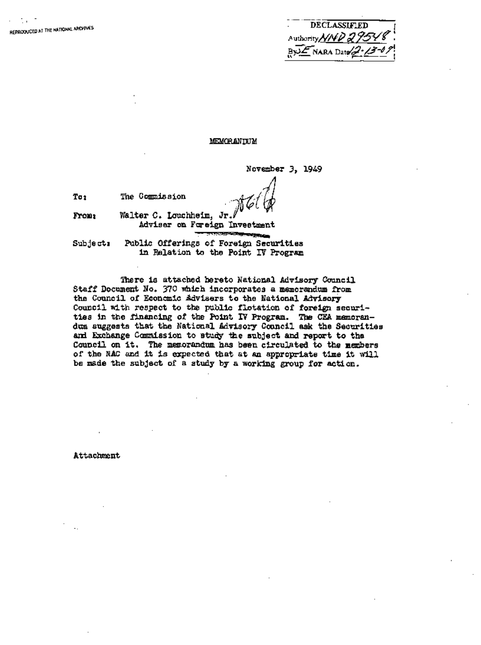| DECLASSIFIED              |
|---------------------------|
| Authority NND 29548       |
| $ByzE$ NARA Date 2- $Z=0$ |

## MEMORANIEUM

November 3, 1949

To<sub>2</sub> The Commission

**I~omm**  Walter C. Louchheim, Jr. Adviser on Fareign Investment

Subject, Public Offerings of Foreign Securities in Relation to the Point IV Program

There is attached hereto National Advisory Council Staff Document No. 370 which incorporates a memorandum from the Council of Economic Advisers to the National Advisory Council with respect to the public flotation of foreign securities in the financing of the Point IV Program. The CEA memorandum suggests that the National Advisory Council ask the Securities and Exchange Commission to study the subject and report to the Council on it. The memorandum has been circulated to the members of the NAC and it is expected that at an appropriate time it will be made the subject of a study by a working group for action.

Attachment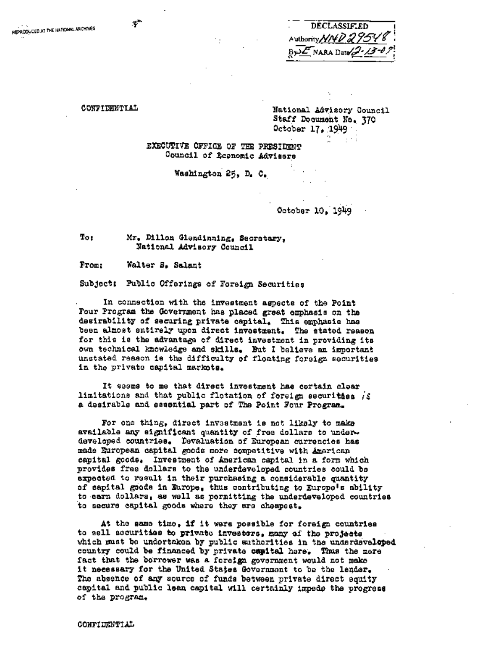| Authority NND 29548                | <b>DECLASSIF.ED</b> |  |
|------------------------------------|---------------------|--|
|                                    |                     |  |
| $B\sqrt{2\pi N}$ NARA Date 2.13-07 |                     |  |

CONFIDENTIAL

×,

National Advisory Council Staff Document No. 370 October 17, 1949

 $\mathbf{r}$ 

EXECUTIVE OFFICE OF THE PRESIDENT Council of Economic Advisers

Washington 25, D. C.

October 10, 1949

To: Mr. Dillon Glendinning, Secretary, National Advisory Council

From: Walter S. Salant

Subject: Public Offerings of Foreign Securities

In connection with the investment aspects of the Point Four Program the Government has placed great emphasis on the desirability of securing private capital. This emphasis has been almost entirely upon direct investment. The stated reason for this is the advantage of direct investment in providing its own technical knowledge and skills. But I believe an important unstated reason is the difficulty of floating foreign securities in the private capital markets.

It seems to me that direct investment has certain clear limitations and that public flotation of foreign securities is a desirable and essential part of The Point Four Program.

For one thing, direct investment is not likely to make available any eignificant quantity of free dollars to underdeveloped countries. Devaluation of European currencies has made European capital goods more competitive with American capital goods. Investment of American capital in a form which provides free dollars to the underdeveloped countries could be expected to result in their purchasing a considerable quantity of capital goods in Europe, thus contributing to Europe's ability to earn dollars, as well as permitting the underdeveloped countries to secure capital goods where they are cheapest.

At the same time, if it were possible for foreign countries to sell securities to private investors, many of the projects which must be undertaken by public sutherities in the underdeveloped country could be financed by private capital here. Thus the mere fact that the borrower was a foreign government would not make it necessary for the United States Government to be the lender. The absence of any source of funds between private direct equity capital and public lean capital will certainly impede the progress of the program.